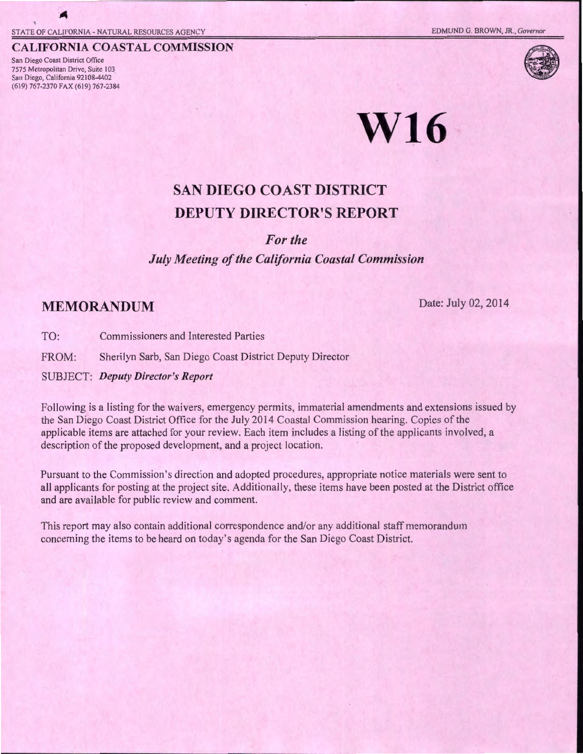#### **CALIFORNIA COASTAL COMMISSION**

San Diego Coast District Office 7575 Metropolitan Drive, Suite 103 San Diego, California 92108-4402 (619) 767-2370 FAX (619) 767-2384



# **W16**

# **SAN DIEGO COAST DISTRICT DEPUTY DIRECTOR'S REPORT**

### *For the*

### *July Meeting of the California Coastal Commission*

## **MEMORANDUM** Date: July 02, 2014

TO: Commissioners and Interested Parties

FROM: Sherilyn Sarb, San Diego Coast District Deputy Director

SUBJECT: *Deputy Director's Report* 

Following is a listing for the waivers, emergency permits, immaterial amendments and extensions issued by the San Diego Coast District Office for the July 2014 Coastal Commission hearing. Copies of the applicable items are attached for your review. Each item includes a listing of the applicants involved, a description of the proposed development, and a project location.

Pursuant to the Commission's direction and adopted procedures, appropriate notice materials were sent to all applicants for posting at the project site. Additionally, these items have been posted at the District office and are available for public review and comment.

This report may also contain additional correspondence and/or any additional staff memorandum concerning the items to be heard on today's agenda for the San Diego Coast District.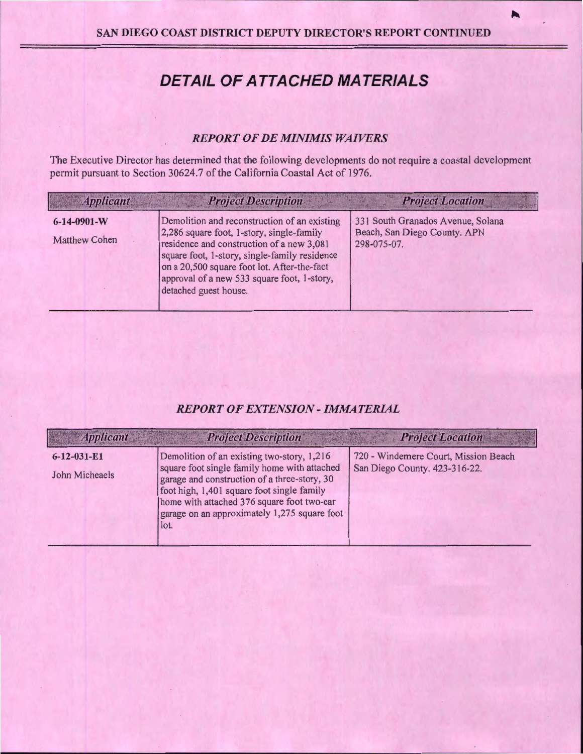## **DETAIL OF ATTACHED MATERIALS**

#### *REPORT OF DE MINIMIS WAIVERS*

The Executive Director has determined that the following developments do not require a coastal development permit pursuant to Section 30624.7 of the California Coastal Act of 1976.

| <b>Applicant</b>                            | <b>Project Description</b>                                                                                                                                                                                                                                                                                     | <b>Project Location</b>                                                          |
|---------------------------------------------|----------------------------------------------------------------------------------------------------------------------------------------------------------------------------------------------------------------------------------------------------------------------------------------------------------------|----------------------------------------------------------------------------------|
| $6 - 14 - 0901 - W$<br><b>Matthew Cohen</b> | Demolition and reconstruction of an existing<br>2,286 square foot, 1-story, single-family<br>residence and construction of a new 3,081<br>square foot, 1-story, single-family residence<br>on a 20,500 square foot lot. After-the-fact<br>approval of a new 533 square foot, 1-story,<br>detached guest house. | 331 South Granados Avenue, Solana<br>Beach, San Diego County. APN<br>298-075-07. |

## *REPORT OF EXTENSION- IMMATERIAL*

| <b>Applicant</b>                      | <b>Project Description</b>                                                                                                                                                                                                                                                                     | <b>Project Location</b>                                               |
|---------------------------------------|------------------------------------------------------------------------------------------------------------------------------------------------------------------------------------------------------------------------------------------------------------------------------------------------|-----------------------------------------------------------------------|
| $6 - 12 - 031 - E1$<br>John Micheaels | Demolition of an existing two-story, 1,216<br>square foot single family home with attached<br>garage and construction of a three-story, 30<br>foot high, 1,401 square foot single family<br>home with attached 376 square foot two-car<br>garage on an approximately 1,275 square foot<br>lot. | 720 - Windemere Court, Mission Beach<br>San Diego County. 423-316-22. |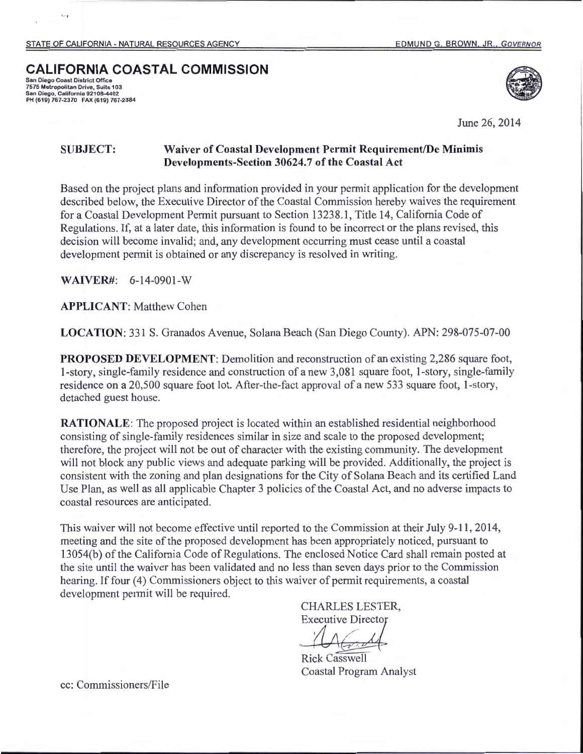## **CALIFORNIA COASTAL COMMISSION**

San Diego Coast District Office 7575 Metropolitan Drive, Suite 103 **San Diego, California 92108-4402**  PH (619) 767-2370 FAX (619) 767-2384

' · t



June 26, 2014

## **SUBJECT: Waiver of Coastal Development Permit Requirement/De Minimis Developments-Section 30624.7 of the Coastal Act**

Based on the project plans and information provided in your permit application for the development described below, the Executive Director of the Coastal Commission hereby waives the requirement for a Coastal Development Permit pursuant to Section 13238.1, Title 14, California Code of Regulations. If, at a later date, this information is found to be incorrect or the plans revised, this decision will become invalid; and, any development occurring must cease until a coastal development permit is obtained or any discrepancy is resolved in writing.

**WAIVER#:** 6-14-0901-W

**APPLICANT:** Matthew Cohen

**LOCATION:** 331 S. Granados Avenue, Solana Beach (San Diego County). APN: 298-075-07-00

**PROPOSED DEVELOPMENT:** Demolition and reconstruction of an existing 2,286 square foot, 1-story, single-family residence and construction of a new 3,081 square foot, 1-story, single-family residence on a 20,500 square foot lot. After-the-fact approval of a new 533 square foot, 1-story, detached guest house.

**RATIONALE:** The proposed project is located within an established residential neighborhood consisting of single-family residences similar in size and scale to the proposed development; therefore, the project will not be out of character with the existing community. The development will not block any public views and adequate parking will be provided. Additionally, the project is consistent with the zoning and plan designations for the City of Solana Beach and its certified Land Use Plan, as well as all applicable Chapter 3 policies of the Coastal Act, and no adverse impacts to coastal resources are anticipated.

This waiver will not become effective until reported to the Commission at their July 9-11,2014, meeting and the site of the proposed development has been appropriately noticed, pursuant to 13054(b) of the California Code of Regulations. The enclosed Notice Card shall remain posted at the site until the waiver has been validated and no less than seven days prior to the Commission hearing. If four (4) Commissioners object to this waiver of permit requirements, a coastal development permit will be required.

> CHARLES LESTER, **Executive Director**

**Rick Casswell** Coastal Program Analyst

cc: Commissioners/File